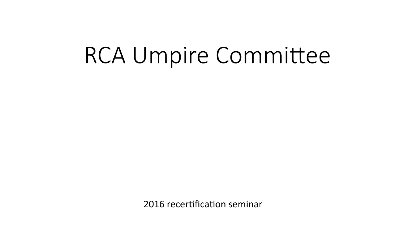# RCA Umpire Committee

2016 recertification seminar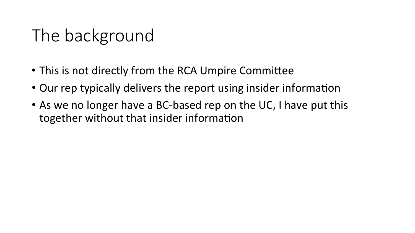## The background

- This is not directly from the RCA Umpire Committee
- Our rep typically delivers the report using insider information
- As we no longer have a BC-based rep on the UC, I have put this together without that insider information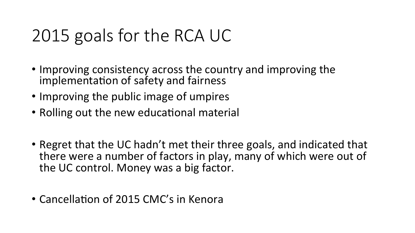## 2015 goals for the RCA UC

- Improving consistency across the country and improving the implementation of safety and fairness
- Improving the public image of umpires
- Rolling out the new educational material
- Regret that the UC hadn't met their three goals, and indicated that there were a number of factors in play, many of which were out of the UC control. Money was a big factor.
- Cancellation of 2015 CMC's in Kenora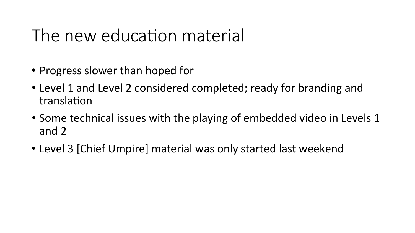#### The new education material

- Progress slower than hoped for
- Level 1 and Level 2 considered completed; ready for branding and translation
- Some technical issues with the playing of embedded video in Levels 1 and 2
- Level 3 [Chief Umpire] material was only started last weekend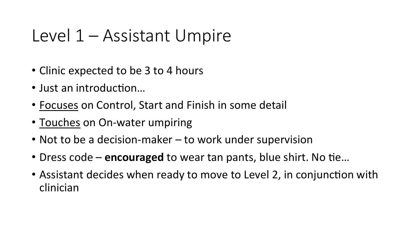#### Level 1 – Assistant Umpire

- Clinic expected to be 3 to 4 hours
- Just an introduction...
- Focuses on Control, Start and Finish in some detail
- Touches on On-water umpiring
- Not to be a decision-maker  $-$  to work under supervision
- Dress code **encouraged** to wear tan pants, blue shirt. No tie...
- Assistant decides when ready to move to Level 2, in conjunction with clinician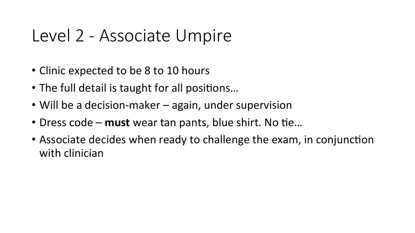#### Level 2 - Associate Umpire

- Clinic expected to be 8 to 10 hours
- The full detail is taught for all positions...
- Will be a decision-maker again, under supervision
- Dress code must wear tan pants, blue shirt. No tie...
- Associate decides when ready to challenge the exam, in conjunction with clinician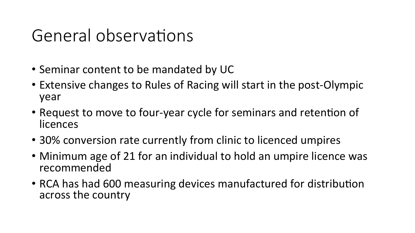#### General observations

- Seminar content to be mandated by UC
- Extensive changes to Rules of Racing will start in the post-Olympic year
- Request to move to four-year cycle for seminars and retention of licences
- 30% conversion rate currently from clinic to licenced umpires
- Minimum age of 21 for an individual to hold an umpire licence was recommended
- RCA has had 600 measuring devices manufactured for distribution across the country